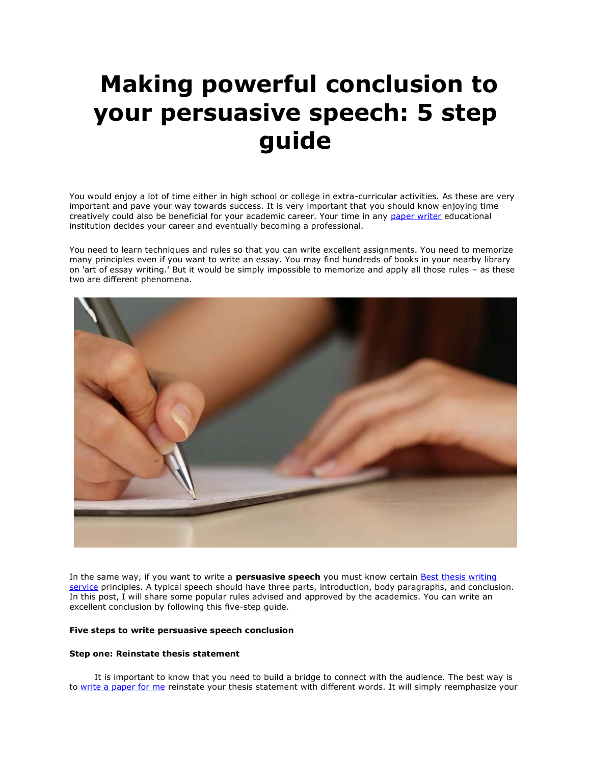# **Making powerful conclusion to your persuasive speech: 5 step guide**

You would enjoy a lot of time either in high school or college in extra-curricular activities. As these are very important and pave your way towards success. It is very important that you should know enjoying time creatively could also be beneficial for your academic career. Your time in any [paper writer](https://www.myperfectpaper.net/) educational institution decides your career and eventually becoming a professional.

You need to learn techniques and rules so that you can write excellent assignments. You need to memorize many principles even if you want to write an essay. You may find hundreds of books in your nearby library on 'art of essay writing.' But it would be simply impossible to memorize and apply all those rules – as these two are different phenomena.



In the same way, if you want to write a **persuasive speech** you must know certain Best thesis writing [service](https://www.gradschoolgenius.com/thesis-writing-service) principles. A typical speech should have three parts, introduction, body paragraphs, and conclusion. In this post, I will share some popular rules advised and approved by the academics. You can write an excellent conclusion by following this five-step guide.

# **Five steps to write persuasive speech conclusion**

#### **Step one: Reinstate thesis statement**

It is important to know that you need to build a bridge to connect with the audience. The best way is to [write a paper for me](https://www.myperfectpaper.net/) reinstate your thesis statement with different words. It will simply reemphasize your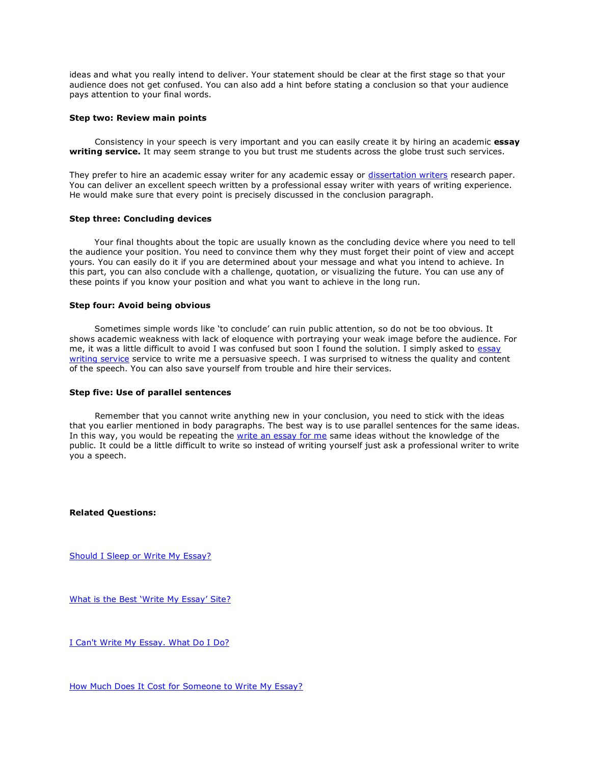ideas and what you really intend to deliver. Your statement should be clear at the first stage so that your audience does not get confused. You can also add a hint before stating a conclusion so that your audience pays attention to your final words.

## **Step two: Review main points**

Consistency in your speech is very important and you can easily create it by hiring an academic **essay writing service.** It may seem strange to you but trust me students across the globe trust such services.

They prefer to hire an academic essay writer for any academic essay or [dissertation writers](https://www.gradschoolgenius.com/professional-dissertation-writers) research paper. You can deliver an excellent speech written by a professional essay writer with years of writing experience. He would make sure that every point is precisely discussed in the conclusion paragraph.

## **Step three: Concluding devices**

Your final thoughts about the topic are usually known as the concluding device where you need to tell the audience your position. You need to convince them why they must forget their point of view and accept yours. You can easily do it if you are determined about your message and what you intend to achieve. In this part, you can also conclude with a challenge, quotation, or visualizing the future. You can use any of these points if you know your position and what you want to achieve in the long run.

#### **Step four: Avoid being obvious**

Sometimes simple words like 'to conclude' can ruin public attention, so do not be too obvious. It shows academic weakness with lack of eloquence with portraying your weak image before the audience. For me, it was a little difficult to avoid I was confused but soon I found the solution. I simply asked to [essay](https://www.essaywritingservice.college/)  [writing service](https://www.essaywritingservice.college/) service to write me a persuasive speech. I was surprised to witness the quality and content of the speech. You can also save yourself from trouble and hire their services.

#### **Step five: Use of parallel sentences**

Remember that you cannot write anything new in your conclusion, you need to stick with the ideas that you earlier mentioned in body paragraphs. The best way is to use parallel sentences for the same ideas. In this way, you would be repeating the [write an essay for me](https://www.writemyessay.help/) same ideas without the knowledge of the public. It could be a little difficult to write so instead of writing yourself just ask a professional writer to write you a speech.

**Related Questions:**

[Should I Sleep or Write My Essay?](https://www.writemyessay.help/should-sleep-or-write-my-essay)

[What is the Best 'Write My Essay' Site?](https://www.writemyessay.help/best-write-my-essay-site)

[I Can't Write My Essay. What Do I Do?](https://www.writemyessay.help/i-cant-write-my-essay)